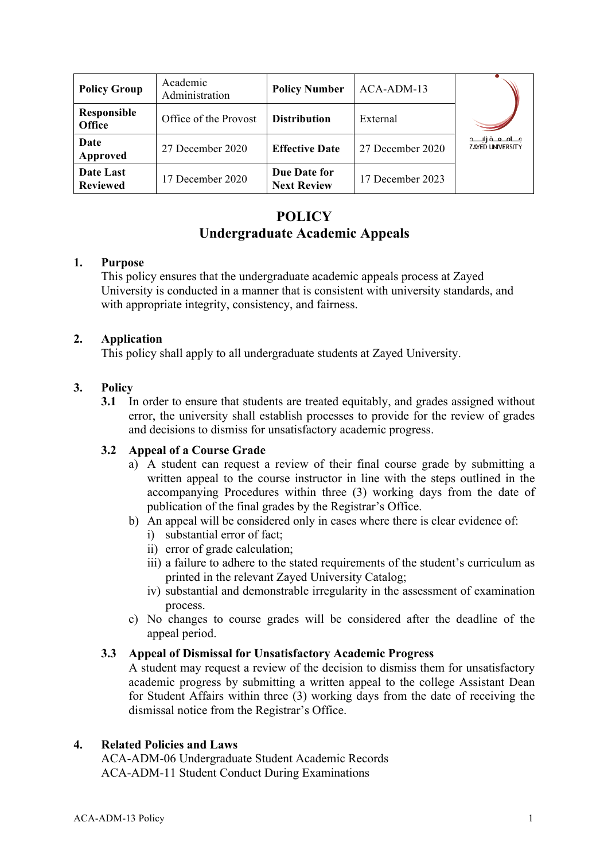| <b>Policy Group</b>          | Academic<br>Administration | <b>Policy Number</b>               | ACA-ADM-13       |                                                      |
|------------------------------|----------------------------|------------------------------------|------------------|------------------------------------------------------|
| Responsible<br><b>Office</b> | Office of the Provost      | <b>Distribution</b>                | External         |                                                      |
| Date<br>Approved             | 27 December 2020           | <b>Effective Date</b>              | 27 December 2020 | جــــامـــعـــة زايـــــد<br><b>ZAYED UNIVERSITY</b> |
| Date Last<br><b>Reviewed</b> | 17 December 2020           | Due Date for<br><b>Next Review</b> | 17 December 2023 |                                                      |

# **POLICY Undergraduate Academic Appeals**

### **1. Purpose**

This policy ensures that the undergraduate academic appeals process at Zayed University is conducted in a manner that is consistent with university standards, and with appropriate integrity, consistency, and fairness.

### **2. Application**

This policy shall apply to all undergraduate students at Zayed University.

### **3. Policy**

**3.1** In order to ensure that students are treated equitably, and grades assigned without error, the university shall establish processes to provide for the review of grades and decisions to dismiss for unsatisfactory academic progress.

### **3.2 Appeal of a Course Grade**

- a) A student can request a review of their final course grade by submitting a written appeal to the course instructor in line with the steps outlined in the accompanying Procedures within three (3) working days from the date of publication of the final grades by the Registrar's Office.
- b) An appeal will be considered only in cases where there is clear evidence of:
	- i) substantial error of fact;
	- ii) error of grade calculation;
	- iii) a failure to adhere to the stated requirements of the student's curriculum as printed in the relevant Zayed University Catalog;
	- iv) substantial and demonstrable irregularity in the assessment of examination process.
- c) No changes to course grades will be considered after the deadline of the appeal period.

### **3.3 Appeal of Dismissal for Unsatisfactory Academic Progress**

A student may request a review of the decision to dismiss them for unsatisfactory academic progress by submitting a written appeal to the college Assistant Dean for Student Affairs within three (3) working days from the date of receiving the dismissal notice from the Registrar's Office.

#### **4. Related Policies and Laws**

ACA-ADM-06 Undergraduate Student Academic Records ACA-ADM-11 Student Conduct During Examinations